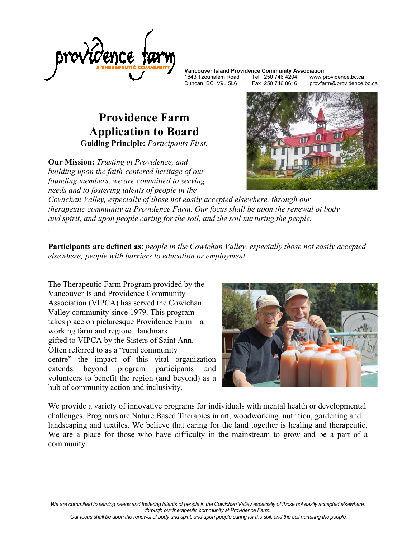

1843 Tzouhalem Road Tel 250 746 4204<br>Duncan, BC V9L 5L6 Fax 250 746 8616

**Vancouver Island Providence Community Association**

provfarm@providence.bc.ca

## **Providence Farm Application to Board Guiding Principle:** *Participants First.*

**Our Mission:** *Trusting in Providence, and building upon the faith-centered heritage of our founding members, we are committed to serving needs and to fostering talents of people in the* 

*.* 



*Cowichan Valley, especially of those not easily accepted elsewhere, through our therapeutic community at Providence Farm. Our focus shall be upon the renewal of body and spirit, and upon people caring for the soil, and the soil nurturing the people.* 

**Participants are defined as**: *people in the Cowichan Valley, especially those not easily accepted elsewhere; people with barriers to education or employment.* 

The Therapeutic Farm Program provided by the Vancouver Island Providence Community Association (VIPCA) has served the Cowichan Valley community since 1979. This program takes place on picturesque Providence Farm – a working farm and regional landmark gifted to VIPCA by the Sisters of Saint Ann. Often referred to as a "rural community centre" the impact of this vital organization extends beyond program participants and volunteers to benefit the region (and beyond) as a hub of community action and inclusivity.



We provide a variety of innovative programs for individuals with mental health or developmental challenges. Programs are Nature Based Therapies in art, woodworking, nutrition, gardening and landscaping and textiles. We believe that caring for the land together is healing and therapeutic. We are a place for those who have difficulty in the mainstream to grow and be a part of a community.

*We are committed to serving needs and fostering talents of people in the Cowichan Valley especially of those not easily accepted elsewhere, through our therapeutic community at Providence Farm.*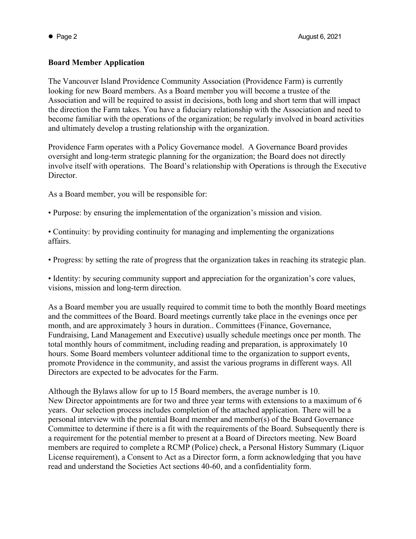## **Board Member Application**

The Vancouver Island Providence Community Association (Providence Farm) is currently looking for new Board members. As a Board member you will become a trustee of the Association and will be required to assist in decisions, both long and short term that will impact the direction the Farm takes. You have a fiduciary relationship with the Association and need to become familiar with the operations of the organization; be regularly involved in board activities and ultimately develop a trusting relationship with the organization.

Providence Farm operates with a Policy Governance model. A Governance Board provides oversight and long-term strategic planning for the organization; the Board does not directly involve itself with operations. The Board's relationship with Operations is through the Executive Director.

As a Board member, you will be responsible for:

- Purpose: by ensuring the implementation of the organization's mission and vision.
- Continuity: by providing continuity for managing and implementing the organizations affairs.
- Progress: by setting the rate of progress that the organization takes in reaching its strategic plan.

• Identity: by securing community support and appreciation for the organization's core values, visions, mission and long-term direction.

As a Board member you are usually required to commit time to both the monthly Board meetings and the committees of the Board. Board meetings currently take place in the evenings once per month, and are approximately 3 hours in duration.. Committees (Finance, Governance, Fundraising, Land Management and Executive) usually schedule meetings once per month. The total monthly hours of commitment, including reading and preparation, is approximately 10 hours. Some Board members volunteer additional time to the organization to support events, promote Providence in the community, and assist the various programs in different ways. All Directors are expected to be advocates for the Farm.

Although the Bylaws allow for up to 15 Board members, the average number is 10. New Director appointments are for two and three year terms with extensions to a maximum of 6 years. Our selection process includes completion of the attached application. There will be a personal interview with the potential Board member and member(s) of the Board Governance Committee to determine if there is a fit with the requirements of the Board. Subsequently there is a requirement for the potential member to present at a Board of Directors meeting. New Board members are required to complete a RCMP (Police) check, a Personal History Summary (Liquor License requirement), a Consent to Act as a Director form, a form acknowledging that you have read and understand the Societies Act sections 40-60, and a confidentiality form.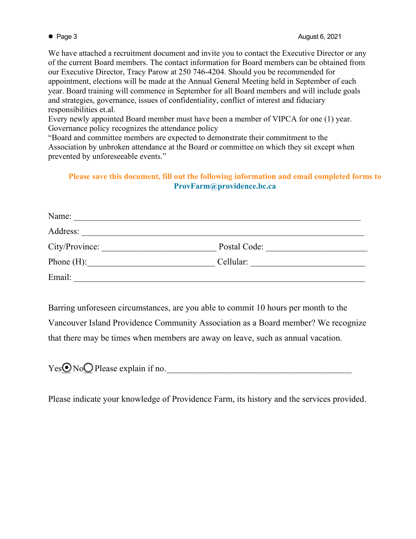We have attached a recruitment document and invite you to contact the Executive Director or any of the current Board members. The contact information for Board members can be obtained from our Executive Director, Tracy Parow at 250 746-4204. Should you be recommended for appointment, elections will be made at the Annual General Meeting held in September of each year. Board training will commence in September for all Board members and will include goals and strategies, governance, issues of confidentiality, conflict of interest and fiduciary responsibilities et.al.

Every newly appointed Board member must have been a member of VIPCA for one (1) year. Governance policy recognizes the attendance policy

"Board and committee members are expected to demonstrate their commitment to the Association by unbroken attendance at the Board or committee on which they sit except when prevented by unforeseeable events."

## **Please save this document, fill out the following information and email completed forms to [ProvFarm@providence.bc.ca](mailto:provfarm@providence.bc.ca)**

| Name:          |              |  |
|----------------|--------------|--|
| Address:       |              |  |
| City/Province: | Postal Code: |  |
| Phone $(H)$ :  | Cellular:    |  |
| Email:         |              |  |

Barring unforeseen circumstances, are you able to commit 10 hours per month to the Vancouver Island Providence Community Association as a Board member? We recognize that there may be times when members are away on leave, such as annual vacation.

| Yes <b>⊙</b> NoΩ Please explain if no. |  |
|----------------------------------------|--|
|                                        |  |

Please indicate your knowledge of Providence Farm, its history and the services provided.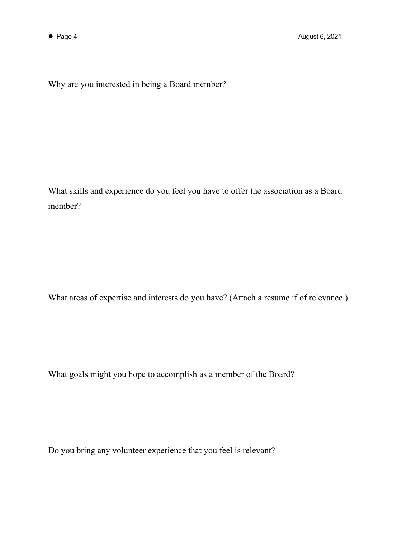Why are you interested in being a Board member?

What skills and experience do you feel you have to offer the association as a Board member?

What areas of expertise and interests do you have? (Attach a resume if of relevance.)

What goals might you hope to accomplish as a member of the Board?

Do you bring any volunteer experience that you feel is relevant?